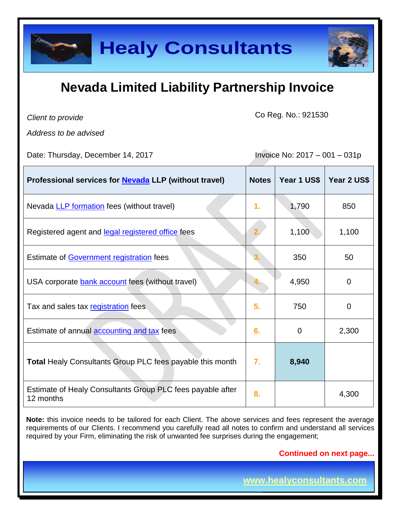

| <b>Healy Consultants</b>                                                                                                                                                                                                                                                                                                          |                                 |                          |                |
|-----------------------------------------------------------------------------------------------------------------------------------------------------------------------------------------------------------------------------------------------------------------------------------------------------------------------------------|---------------------------------|--------------------------|----------------|
| <b>Nevada Limited Liability Partnership Invoice</b>                                                                                                                                                                                                                                                                               |                                 |                          |                |
| Client to provide<br>Address to be advised                                                                                                                                                                                                                                                                                        | Co Reg. No.: 921530             |                          |                |
| Date: Thursday, December 14, 2017                                                                                                                                                                                                                                                                                                 | Invoice No: $2017 - 001 - 031p$ |                          |                |
| Professional services for <b>Nevada</b> LLP (without travel)                                                                                                                                                                                                                                                                      | <b>Notes</b>                    | Year 1 US\$              | Year 2 US\$    |
| Nevada LLP formation fees (without travel)                                                                                                                                                                                                                                                                                        | $\mathbf{1}$ .                  | 1,790                    | 850            |
| Registered agent and legal registered office fees                                                                                                                                                                                                                                                                                 |                                 | 1,100                    | 1,100          |
| <b>Estimate of Government registration fees</b>                                                                                                                                                                                                                                                                                   |                                 | 350                      | 50             |
| USA corporate bank account fees (without travel)                                                                                                                                                                                                                                                                                  |                                 | 4,950                    | $\overline{0}$ |
| Tax and sales tax registration fees                                                                                                                                                                                                                                                                                               | 5.                              | 750                      | $\overline{0}$ |
| Estimate of annual <b>accounting and tax</b> fees                                                                                                                                                                                                                                                                                 | 6.                              | 0                        | 2,300          |
| <b>Total Healy Consultants Group PLC fees payable this month</b>                                                                                                                                                                                                                                                                  | 7.                              | 8,940                    |                |
| Estimate of Healy Consultants Group PLC fees payable after<br>12 months                                                                                                                                                                                                                                                           | 8.                              |                          | 4,300          |
| <b>Note:</b> this invoice needs to be tailored for each Client. The above services and fees represent the average<br>requirements of our Clients. I recommend you carefully read all notes to confirm and understand all services<br>required by your Firm, eliminating the risk of unwanted fee surprises during the engagement; |                                 |                          |                |
| <b>Continued on next page</b>                                                                                                                                                                                                                                                                                                     |                                 |                          |                |
|                                                                                                                                                                                                                                                                                                                                   |                                 | www.healyconsultants.com |                |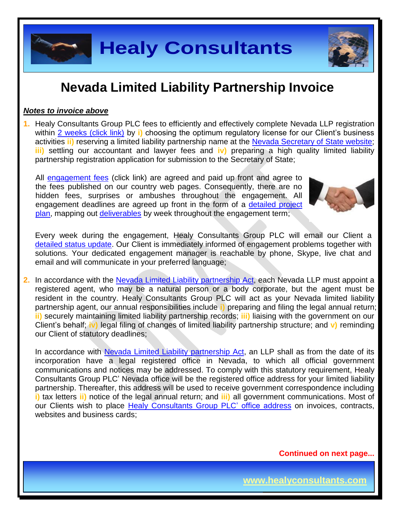

#### *Notes to invoice above*

**1.** Healy Consultants Group PLC fees to efficiently and effectively complete Nevada LLP registration within 2 [weeks \(click link\)](http://www.healyconsultants.com/nevada-company-registration/fees-timelines/#timelines) by i) choosing the optimum regulatory license for our Client's business activities **ii)** reserving a limited liability partnership name at the [Nevada Secretary of State](https://nvsos.gov/index.aspx?page=428) website; **iii)** settling our accountant and lawyer fees and **iv)** preparing a high quality limited liability partnership registration application for submission to the Secretary of State;

All [engagement fees](http://www.healyconsultants.com/company-registration-fees/) (click link) are agreed and paid up front and agree to the fees published on our country web pages. Consequently, there are no hidden fees, surprises or ambushes throughout the engagement. All engagement deadlines are agreed up front in the form of a [detailed project](http://www.healyconsultants.com/index-important-links/example-project-plan/)  [plan,](http://www.healyconsultants.com/index-important-links/example-project-plan/) mapping out [deliverables](http://www.healyconsultants.com/deliverables-to-our-clients/) by week throughout the engagement term;



**Page 2 of 8**

Every week during the engagement, Healy Consultants Group PLC will email our Client a [detailed status update.](http://www.healyconsultants.com/index-important-links/weekly-engagement-status-email/) Our Client is immediately informed of engagement problems together with solutions. Your dedicated engagement manager is reachable by phone, Skype, live chat and email and will communicate in your preferred language;

**2.** In accordance with the Nevada [Limited Liability partnership](http://www.leg.state.nv.us/NRS/NRS-086.html) Act, each Nevada LLP must appoint a registered agent, who may be a natural person or a body corporate, but the agent must be resident in the country. Healy Consultants Group PLC will act as your Nevada limited liability partnership agent, our annual responsibilities include **i)** preparing and filing the legal annual return; **ii)** securely maintaining limited liability partnership records; **iii)** liaising with the government on our Client's behalf; **iv)** legal filing of changes of limited liability partnership structure; and **v)** reminding our Client of statutory deadlines;

**Healy Consultants**<br> **A Limited Liability Partnership Invoice**<br>
We Group PLC fees to efficiently and effectively complete Nevada LLP registration<br>
Surface Mink by in chosing the optimum regulatory license for our Clients b In accordance with Nevada [Limited Liability partnership](http://www.leg.state.nv.us/NRS/NRS-086.html) Act, an LLP shall as from the date of its incorporation have a legal registered office in Nevada, to which all official government communications and notices may be addressed. To comply with this statutory requirement, Healy Consultants Group PLC' Nevada office will be the registered office address for your limited liability partnership. Thereafter, this address will be used to receive government correspondence including **i)** tax letters **ii)** notice of the legal annual return; and **iii)** all government communications. Most of our Clients wish to place [Healy Consultants Group PLC' office address](http://www.healyconsultants.com/corporate-outsourcing-services/company-secretary-and-legal-registered-office/) on invoices, contracts, websites and business cards;

**Continued on next page...**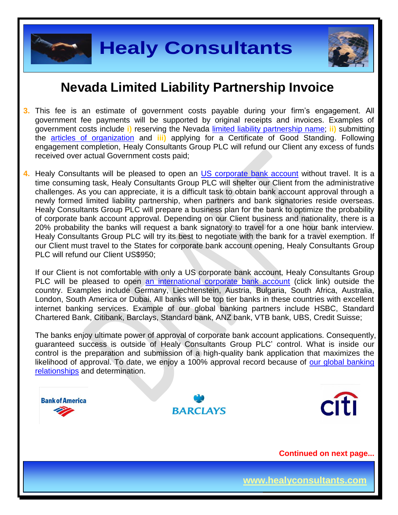

**Page 3 of 8**

## **Nevada Limited Liability Partnership Invoice**

- **3.** This fee is an estimate of government costs payable during your firm's engagement. All government fee payments will be supported by original receipts and invoices. Examples of government costs include **i)** reserving the Nevada [limited liability partnership](http://nvsos.gov/Modules/ShowDocument.aspx?documentid=901) name; **ii)** submitting the [articles of organization](http://nvsos.gov/Modules/ShowDocument.aspx?documentid=1004) and **iii)** applying for a Certificate of Good Standing. Following engagement completion, Healy Consultants Group PLC will refund our Client any excess of funds received over actual Government costs paid;
- **4.** Healy Consultants will be pleased to open an [US corporate bank account](http://www.healyconsultants.com/usa-company-registration/formation-support-services/#banking) without travel. It is a time consuming task, Healy Consultants Group PLC will shelter our Client from the administrative challenges. As you can appreciate, it is a difficult task to obtain bank account approval through a newly formed limited liability partnership, when partners and bank signatories reside overseas. Healy Consultants Group PLC will prepare a business plan for the bank to optimize the probability of corporate bank account approval. Depending on our Client business and nationality, there is a 20% probability the banks will request a bank signatory to travel for a one hour bank interview. Healy Consultants Group PLC will try its best to negotiate with the bank for a travel exemption. If our Client must travel to the States for corporate bank account opening, Healy Consultants Group PLC will refund our Client US\$950;

If our Client is not comfortable with only a US corporate bank account, Healy Consultants Group PLC will be pleased to open [an international corporate bank account](http://www.healyconsultants.com/international-banking/) (click link) outside the country. Examples include Germany, Liechtenstein, Austria, Bulgaria, South Africa, Australia, London, South America or Dubai. All banks will be top tier banks in these countries with excellent internet banking services. Example of our global banking partners include HSBC, Standard Chartered Bank, Citibank, Barclays, Standard bank, ANZ bank, VTB bank, UBS, Credit Suisse;

The banks enjoy ultimate power of approval of corporate bank account applications. Consequently, guaranteed success is outside of Healy Consultants Group PLC' control. What is inside our control is the preparation and submission of a high-quality bank application that maximizes the likelihood of approval. To date, we enjoy a 100% approval record because of our global banking [relationships](http://www.healyconsultants.com/international-banking/corporate-accounts/) and determination.

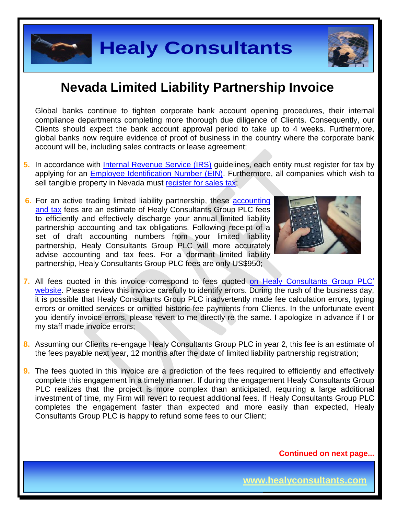

Global banks continue to tighten corporate bank account opening procedures, their internal compliance departments completing more thorough due diligence of Clients. Consequently, our Clients should expect the bank account approval period to take up to 4 weeks. Furthermore, global banks now require evidence of proof of business in the country where the corporate bank account will be, including sales contracts or lease agreement;

- **5.** In accordance with [Internal Revenue Service \(IRS\)](http://www.irs.gov/) guidelines, each entity must register for tax by applying for an [Employee Identification Number \(EIN\).](http://www.irs.gov/pub/irs-pdf/p1635.pdf) Furthermore, all companies which wish to sell tangible property in Nevada must [register for sales tax;](http://tax.nv.gov/FAQs/Sales_Tax_Information___FAQ_s/)
- **6.** For an active trading limited liability partnership, these accounting [and tax](http://www.healyconsultants.com/usa-company-registration/accounting-legal/) fees are an estimate of Healy Consultants Group PLC fees to efficiently and effectively discharge your annual limited liability partnership accounting and tax obligations. Following receipt of a set of draft accounting numbers from your limited liability partnership, Healy Consultants Group PLC will more accurately advise accounting and tax fees. For a dormant limited liability partnership, Healy Consultants Group PLC fees are only US\$950;



**Page 4 of 8**

- **Example 11 Consultants**<br> **A Limited Liability Partnership Invoice**<br>
time to tighten conporte bank account opening procedures, their internation-<br>
ments competen gap more through a de digene of Cherns. Consequently, or<br>
or **7.** All fees quoted in this invoice correspond to fees quoted [on Healy Consultants Group PLC'](http://www.healyconsultants.com/company-registration-fees/)  [website.](http://www.healyconsultants.com/company-registration-fees/) Please review this invoice carefully to identify errors. During the rush of the business day, it is possible that Healy Consultants Group PLC inadvertently made fee calculation errors, typing errors or omitted services or omitted historic fee payments from Clients. In the unfortunate event you identify invoice errors, please revert to me directly re the same. I apologize in advance if I or my staff made invoice errors;
- **8.** Assuming our Clients re-engage Healy Consultants Group PLC in year 2, this fee is an estimate of the fees payable next year, 12 months after the date of limited liability partnership registration;
- **9.** The fees quoted in this invoice are a prediction of the fees required to efficiently and effectively complete this engagement in a timely manner. If during the engagement Healy Consultants Group PLC realizes that the project is more complex than anticipated, requiring a large additional investment of time, my Firm will revert to request additional fees. If Healy Consultants Group PLC completes the engagement faster than expected and more easily than expected, Healy Consultants Group PLC is happy to refund some fees to our Client;

**Continued on next page...**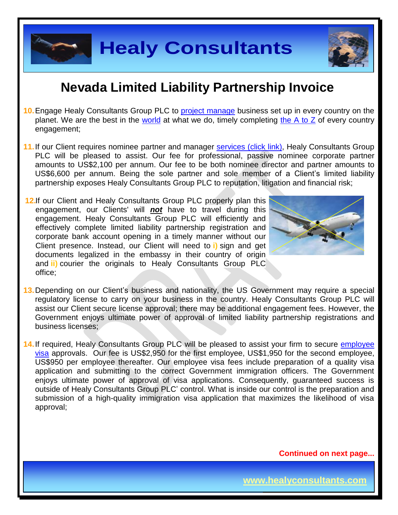

- **10.**Engage Healy Consultants Group PLC to [project manage](http://www.healyconsultants.com/project-manage-engagements/) business set up in every country on the planet. We are the best in the [world](http://www.healyconsultants.com/best-in-the-world/) at what we do, timely completing [the A to Z](http://www.healyconsultants.com/a-to-z-of-business-set-up/) of every country engagement;
- 11. If our Client requires nominee partner and manager services [\(click link\),](http://www.healyconsultants.com/corporate-outsourcing-services/nominee-shareholders-directors/) Healy Consultants Group PLC will be pleased to assist. Our fee for professional, passive nominee corporate partner amounts to US\$2,100 per annum. Our fee to be both nominee director and partner amounts to US\$6,600 per annum. Being the sole partner and sole member of a Client's limited liability partnership exposes Healy Consultants Group PLC to reputation, litigation and financial risk;
- **12.**If our Client and Healy Consultants Group PLC properly plan this engagement, our Clients' will *not* have to travel during this engagement. Healy Consultants Group PLC will efficiently and effectively complete limited liability partnership registration and corporate bank account opening in a timely manner without our Client presence. Instead, our Client will need to **i)** sign and get documents legalized in the embassy in their country of origin and **ii)** courier the originals to Healy Consultants Group PLC office;



**Page 5 of 8**

**13.**Depending on our Client's business and nationality, the US Government may require a special regulatory license to carry on your business in the country. Healy Consultants Group PLC will assist our Client secure license approval; there may be additional engagement fees. However, the Government enjoys ultimate power of approval of limited liability partnership registrations and business licenses;

**Example 18 Consultants**<br> **A Limited Liability Partnership Invoice**<br>
Bushans Group PLC to <u>project manage</u> business set up in every countly on the<br>
bush in the <u>world</u> at what we do, timely completing the A to Z of every c **14.**If required, Healy Consultants Group PLC will be pleased to assist your firm to secure [employee](http://www.healyconsultants.com/usa-company-registration/formation-support-services/)  [visa](http://www.healyconsultants.com/usa-company-registration/formation-support-services/) approvals. Our fee is US\$2,950 for the first employee, US\$1,950 for the second employee, US\$950 per employee thereafter. Our employee visa fees include preparation of a quality visa application and submitting to the correct Government immigration officers. The Government enjoys ultimate power of approval of visa applications. Consequently, guaranteed success is outside of Healy Consultants Group PLC' control. What is inside our control is the preparation and submission of a high-quality immigration visa application that maximizes the likelihood of visa approval;

**Continued on next page...**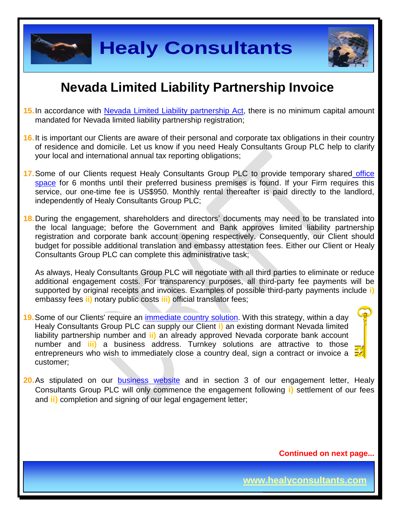![](_page_5_Picture_0.jpeg)

- **15.**In accordance with Nevada Limited Liability [partnership Act,](http://www.leg.state.nv.us/NRS/NRS-086.html) there is no minimum capital amount mandated for Nevada limited liability partnership registration;
- **16.**It is important our Clients are aware of their personal and corporate tax obligations in their country of residence and domicile. Let us know if you need Healy Consultants Group PLC help to clarify your local and international annual tax reporting obligations;
- **17.**Some of our Clients request Healy Consultants Group PLC to provide temporary shared [office](http://www.healyconsultants.com/virtual-office/)  [space](http://www.healyconsultants.com/virtual-office/) for 6 months until their preferred business premises is found. If your Firm requires this service, our one-time fee is US\$950. Monthly rental thereafter is paid directly to the landlord, independently of Healy Consultants Group PLC;

**18.**During the engagement, shareholders and directors' documents may need to be translated into the local language; before the Government and Bank approves limited liability partnership registration and corporate bank account opening respectively. Consequently, our Client should budget for possible additional translation and embassy attestation fees. Either our Client or Healy Consultants Group PLC can complete this administrative task;

As always, Healy Consultants Group PLC will negotiate with all third parties to eliminate or reduce additional engagement costs. For transparency purposes, all third-party fee payments will be supported by original receipts and invoices. Examples of possible third-party payments include **i)** embassy fees **ii)** notary public costs **iii)** official translator fees;

- **Examples to the model in the model in the state of the model in the same of the model in the same of the model in the model in the search that in the search that in the search that in the search that in the search that co 19.**Some of our Clients' require an [immediate country](http://www.healyconsultants.com/turnkey-solutions/) solution. With this strategy, within a day Healy Consultants Group PLC can supply our Client **i)** an existing dormant Nevada limited liability partnership number and **ii)** an already approved Nevada corporate bank account number and **iii)** a business address. Turnkey solutions are attractive to those entrepreneurs who wish to immediately close a country deal, sign a contract or invoice a customer;
- **20.**As stipulated on our [business website](http://www.healyconsultants.com/) and in section 3 of our engagement letter, Healy Consultants Group PLC will only commence the engagement following **i)** settlement of our fees and **ii)** completion and signing of our legal engagement letter;

**Continued on next page...**

**Page 6 of 8**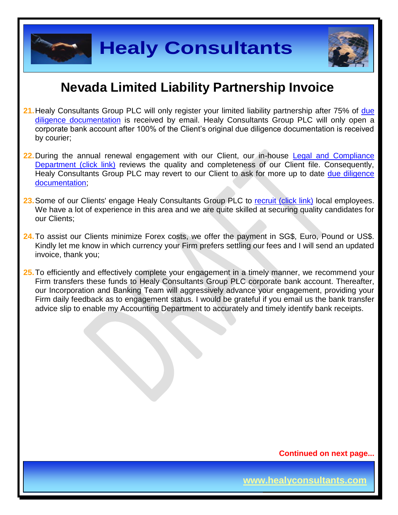![](_page_6_Picture_0.jpeg)

- **21.**Healy Consultants Group PLC will only register your limited liability partnership after 75% of [due](http://www.healyconsultants.com/due-diligence/)  [diligence documentation](http://www.healyconsultants.com/due-diligence/) is received by email. Healy Consultants Group PLC will only open a corporate bank account after 100% of the Client's original due diligence documentation is received by courier;
- **22.**During the annual renewal engagement with our Client, our in-house [Legal and Compliance](http://www.healyconsultants.com/about-us/key-personnel/cai-xin-profile/)  [Department \(click link\)](http://www.healyconsultants.com/about-us/key-personnel/cai-xin-profile/) reviews the quality and completeness of our Client file. Consequently, Healy Consultants Group PLC may revert to our Client to ask for more up to date [due diligence](http://www.healyconsultants.com/due-diligence/)  [documentation;](http://www.healyconsultants.com/due-diligence/)
- 23. Some of our Clients' engage Healy Consultants Group PLC to [recruit \(click link\)](http://www.healyconsultants.com/corporate-outsourcing-services/how-we-help-our-clients-recruit-quality-employees/) local employees. We have a lot of experience in this area and we are quite skilled at securing quality candidates for our Clients;
- **24.**To assist our Clients minimize Forex costs, we offer the payment in SG\$, Euro, Pound or US\$. Kindly let me know in which currency your Firm prefers settling our fees and I will send an updated invoice, thank you;
- **Example 18 Consultants**<br> **A Limited Liability Partnership Invoice**<br>
Soup PLC will only register your limited liability partnership alter 75% of distance<br>
Internet 100% of the Client's orginal due diligence documentation i **25.**To efficiently and effectively complete your engagement in a timely manner, we recommend your Firm transfers these funds to Healy Consultants Group PLC corporate bank account. Thereafter, our Incorporation and Banking Team will aggressively advance your engagement, providing your Firm daily feedback as to engagement status. I would be grateful if you email us the bank transfer advice slip to enable my Accounting Department to accurately and timely identify bank receipts.

![](_page_6_Picture_8.jpeg)

**Page 7 of 8**